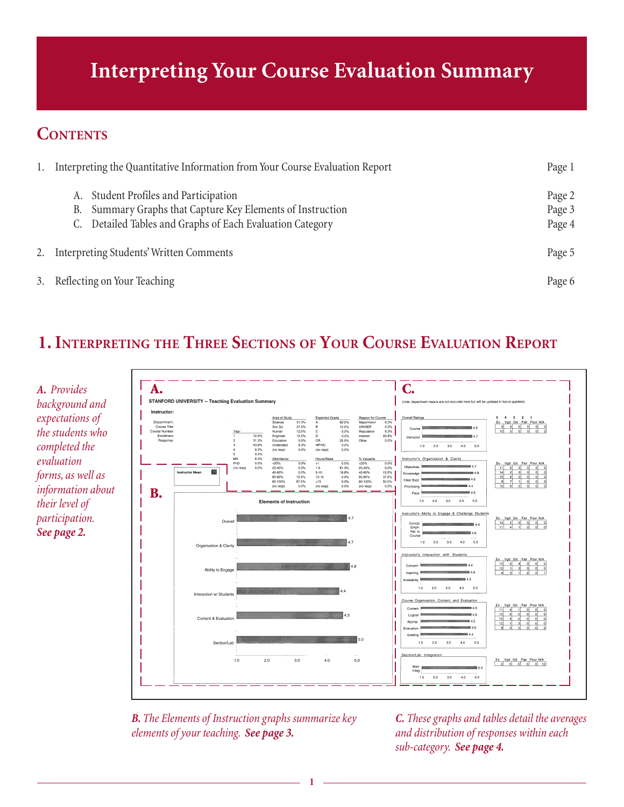## **Interpreting Your Course Evaluation Summary**

### **CONTENTS**

| 1. | Interpreting the Quantitative Information from Your Course Evaluation Report                                                                                        | Page 1                     |
|----|---------------------------------------------------------------------------------------------------------------------------------------------------------------------|----------------------------|
|    | A. Student Profiles and Participation<br>Summary Graphs that Capture Key Elements of Instruction<br>В.<br>C. Detailed Tables and Graphs of Each Evaluation Category | Page 2<br>Page 3<br>Page 4 |
|    | 2. Interpreting Students' Written Comments                                                                                                                          | Page 5                     |
|    | 3. Reflecting on Your Teaching                                                                                                                                      | Page 6                     |

## **1. INTERPRETING THE THREE SECTIONS OF YOUR COURSE EVALUATION REPORT**



*B. The Elements of Instruction graphs summarize key elements of your teaching. See page 3.*

*C. These graphs and tables detail the averages and distribution of responses within each sub-category. See page 4.*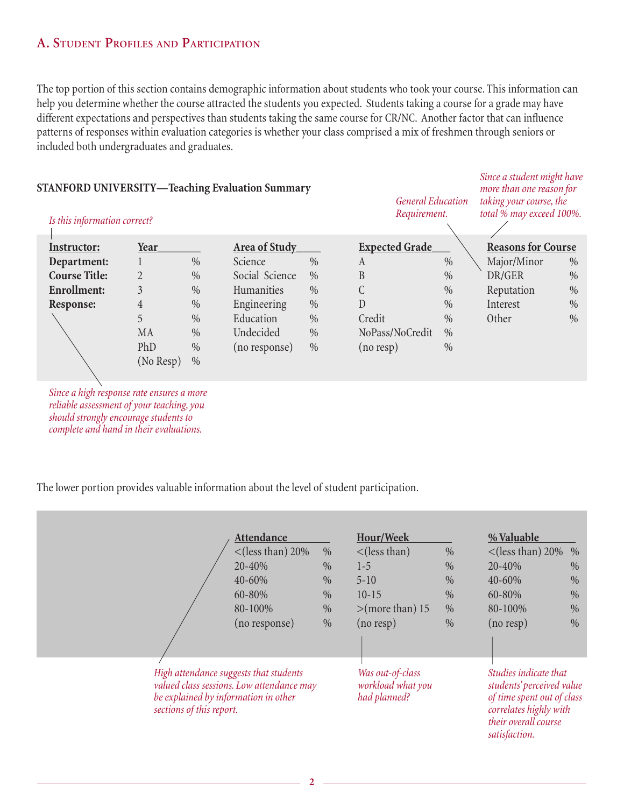#### **A. STUDENT PROFILES AND PARTICIPATION**

The top portion of this section contains demographic information about students who took your course. This information can help you determine whether the course attracted the students you expected. Students taking a course for a grade may have different expectations and perspectives than students taking the same course for CR/NC. Another factor that can influence patterns of responses within evaluation categories is whether your class comprised a mix of freshmen through seniors or included both undergraduates and graduates.

*Since a student might have*

| <b>STANFORD UNIVERSITY—Teaching Evaluation Summary</b><br>Is this information correct? |                |                      |                | <b>General Education</b><br>Requirement. |                 | more than one reason for<br>taking your course, the<br>total % may exceed 100%. |             |      |
|----------------------------------------------------------------------------------------|----------------|----------------------|----------------|------------------------------------------|-----------------|---------------------------------------------------------------------------------|-------------|------|
| Instructor:                                                                            |                | <b>Area of Study</b> |                | <b>Expected Grade</b>                    |                 | <b>Reasons for Course</b>                                                       |             |      |
| Department:                                                                            |                | $\%$                 | Science        | $\%$                                     | A               | $\%$                                                                            | Major/Minor | $\%$ |
| <b>Course Title:</b>                                                                   | $\overline{2}$ | $\%$                 | Social Science | $\%$                                     | B               | $\%$                                                                            | DR/GER      | $\%$ |
| <b>Enrollment:</b>                                                                     | 3              | $\%$                 | Humanities     | $\%$                                     | C               | $\%$                                                                            | Reputation  | $\%$ |
| Response:                                                                              | 4              | $\%$                 | Engineering    | $\%$                                     | D               | $\%$                                                                            | Interest    | $\%$ |
|                                                                                        | 5              | $\%$                 | Education      | $\%$                                     | Credit          | $\%$                                                                            | Other       | $\%$ |
|                                                                                        | MA             | $\%$                 | Undecided      | $\%$                                     | NoPass/NoCredit | $\%$                                                                            |             |      |
|                                                                                        | PhD            | $\%$                 | (no response)  | $\%$                                     | (no resp)       | $\%$                                                                            |             |      |
|                                                                                        | (No Resp)      | $\%$                 |                |                                          |                 |                                                                                 |             |      |

*Since a high response rate ensures a more reliable assessment of your teaching, you should strongly encourage students to complete and hand in their evaluations.*

The lower portion provides valuable information about the level of student participation.

|                                                                                                            | Attendance                                |               | Hour/Week                                             |      | % Valuable                                                                                                                                          |      |
|------------------------------------------------------------------------------------------------------------|-------------------------------------------|---------------|-------------------------------------------------------|------|-----------------------------------------------------------------------------------------------------------------------------------------------------|------|
|                                                                                                            | $\langle$ (less than) 20%                 | $\%$          | $\langle$ (less than)                                 | $\%$ | $\langle$ (less than) 20%                                                                                                                           | $\%$ |
|                                                                                                            | 20-40%                                    | $\%$          | $1-5$                                                 | $\%$ | 20-40%                                                                                                                                              | $\%$ |
|                                                                                                            | 40-60%                                    | $\%$          | $5 - 10$                                              | $\%$ | 40-60%                                                                                                                                              | $\%$ |
|                                                                                                            | 60-80%                                    | $\frac{0}{0}$ | $10-15$                                               | $\%$ | 60-80%                                                                                                                                              | $\%$ |
|                                                                                                            | 80-100%                                   | $\%$          | $>$ (more than) 15                                    | $\%$ | 80-100%                                                                                                                                             | $\%$ |
|                                                                                                            | (no response)                             | $\%$          | $(no$ resp $)$                                        | $\%$ | $(no$ resp)                                                                                                                                         | $\%$ |
| High attendance suggests that students<br>be explained by information in other<br>sections of this report. | valued class sessions. Low attendance may |               | Was out-of-class<br>workload what you<br>had planned? |      | Studies indicate that<br>students' perceived value<br>of time spent out of class<br>correlates highly with<br>their overall course<br>satisfaction. |      |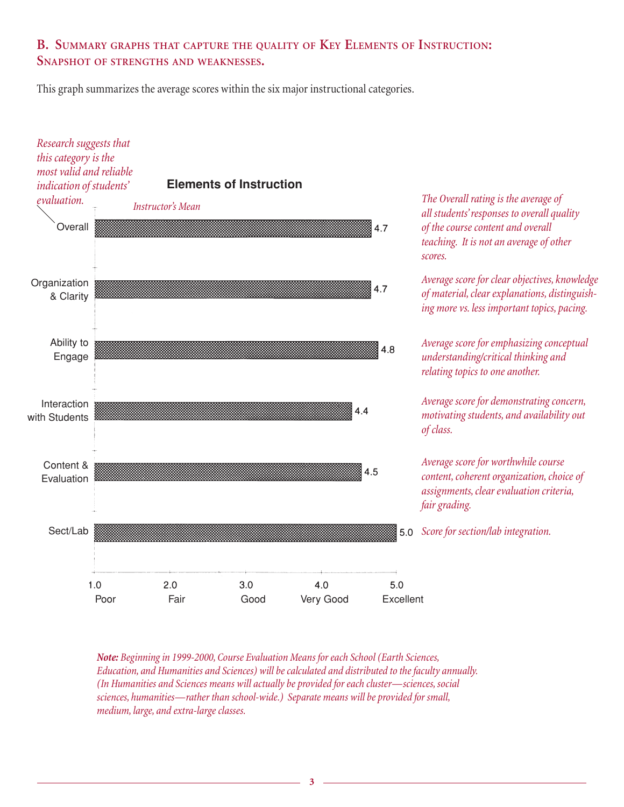#### **B. SUMMARY GRAPHS THAT CAPTURE THE QUALITY OF KEY ELEMENTS OF INSTRUCTION: SNAPSHOT OF STRENGTHS AND WEAKNESSES.**

This graph summarizes the average scores within the six major instructional categories.



*Note: Beginning in 1999-2000, Course Evaluation Means for each School (Earth Sciences, Education, and Humanities and Sciences) will be calculated and distributed to the faculty annually. (In Humanities and Sciences means will actually be provided for each cluster—sciences, social sciences, humanities—rather than school-wide.) Separate means will be provided for small, medium, large, and extra-large classes.*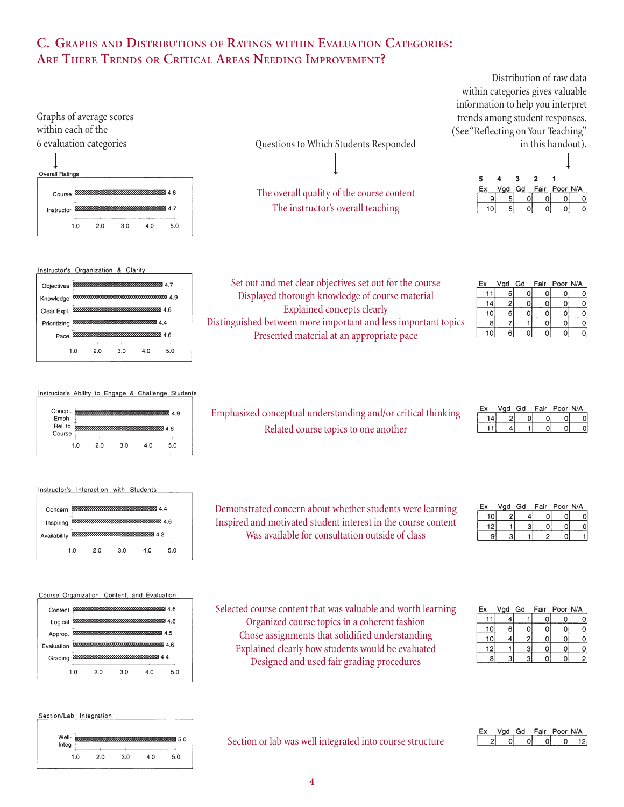#### **C. GRAPHS AND DISTRIBUTIONS OF RATINGS WITHIN EVALUATION CATEGORIES: ARE THERE TRENDS OR CRITICAL AREAS NEEDING IMPROVEMENT?**







→

The overall quality of the course content The instructor's overall teaching

Set out and met clear objectives set out for the course Displayed thorough knowledge of course material Explained concepts clearly Distinguished between more important and less important topics Presented material at an appropriate pace

Distribution of raw data within categories gives valuable information to help you interpret trends among student responses. (See "Reflecting on Your Teaching" in this handout).



| Ex | Vgd | Gd | Fair Poor N/A |  |
|----|-----|----|---------------|--|
|    |     |    |               |  |
|    |     |    |               |  |
|    | ĥ   |    |               |  |
|    |     |    |               |  |
|    |     |    |               |  |

| Instructor's Ability to Engage & Challenge Students |  |  |  |
|-----------------------------------------------------|--|--|--|
|                                                     |  |  |  |

| Concpt.<br>Emph<br>Rel. to<br>Course |     |     |     |     | 49<br>4.6 |
|--------------------------------------|-----|-----|-----|-----|-----------|
|                                      | 1.0 | 2.0 | 3.0 | 4.0 | 5.0       |

| Emphasized conceptual understanding and/or critical thinking |
|--------------------------------------------------------------|
| Related course topics to one another                         |

Demonstrated concern about whether students were learning Inspired and motivated student interest in the course content Was available for consultation outside of class

|  | hP hnV | Fair | Poor N/A |  |
|--|--------|------|----------|--|
|  |        |      |          |  |
|  |        |      |          |  |

| Ex | Vad Gd |  | Fair Poor N/A |  |
|----|--------|--|---------------|--|
|    |        |  |               |  |
|    |        |  |               |  |
|    |        |  |               |  |

| Ex | Vgd Gd |   | Fair Poor N/A |  |
|----|--------|---|---------------|--|
|    |        |   |               |  |
| 10 | 6      |   |               |  |
| 10 |        | 2 |               |  |
| 12 |        |   |               |  |
|    |        |   |               |  |

Selected course content that was valuable and worth learning Organized course topics in a coherent fashion Chose assignments that solidified understanding Explained clearly how students would be evaluated

# Designed and used fair grading procedures

#### Vgd Gd Fair Poor N/A  $2|0|0|0|0|12$

 $\overline{A}$ Availability  $10$  $50$  $20$  $30$  $40$ 

**88 4 4** 

46

Instructor's Interaction with Students

Concern Inspiring

Course Organization, Content, and Evaluation



#### Section/Lab Integration

| Well- |     |     |     | 5.0 |
|-------|-----|-----|-----|-----|
| Integ |     |     |     |     |
| 1.0   | 2.0 | 3.0 | 4.0 | 5.0 |

Section or lab was well integrated into course structure

**4**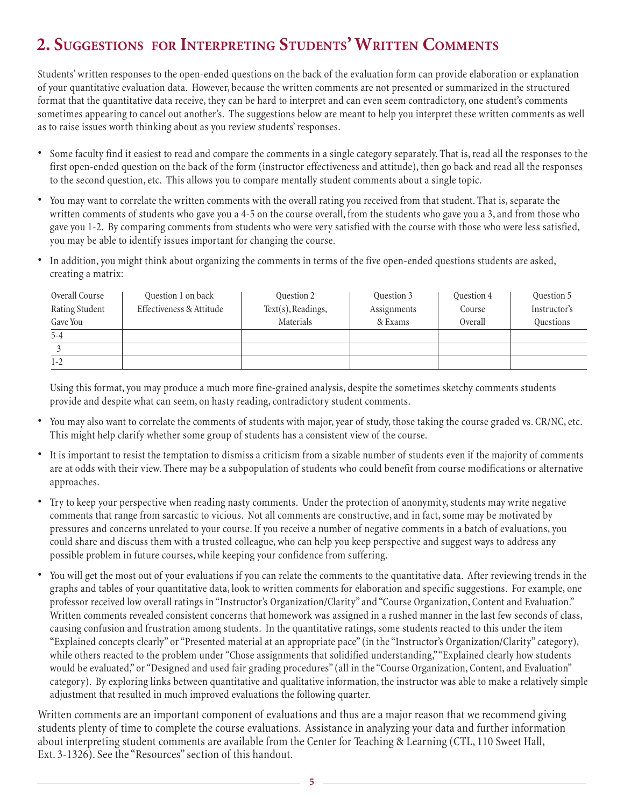## **2. SUGGESTIONS FOR INTERPRETING STUDENTS' WRITTEN COMMENTS**

Students' written responses to the open-ended questions on the back of the evaluation form can provide elaboration or explanation of your quantitative evaluation data. However, because the written comments are not presented or summarized in the structured format that the quantitative data receive, they can be hard to interpret and can even seem contradictory, one student's comments sometimes appearing to cancel out another's. The suggestions below are meant to help you interpret these written comments as well as to raise issues worth thinking about as you review students' responses.

- Some faculty find it easiest to read and compare the comments in a single category separately. That is, read all the responses to the first open-ended question on the back of the form (instructor effectiveness and attitude), then go back and read all the responses to the second question, etc. This allows you to compare mentally student comments about a single topic.
- You may want to correlate the written comments with the overall rating you received from that student. That is, separate the written comments of students who gave you a 4-5 on the course overall, from the students who gave you a 3, and from those who gave you 1-2. By comparing comments from students who were very satisfied with the course with those who were less satisfied, you may be able to identify issues important for changing the course.
- In addition, you might think about organizing the comments in terms of the five open-ended questions students are asked, creating a matrix:

| Overall Course | Question 1 on back       | Question 2         | Question 3  | Question 4 | Question 5   |
|----------------|--------------------------|--------------------|-------------|------------|--------------|
| Rating Student | Effectiveness & Attitude | Text(s), Readings, | Assignments | Course     | Instructor's |
| Gave You       |                          | Materials          | & Exams     | Overall    | Questions    |
| $5 - 4$        |                          |                    |             |            |              |
|                |                          |                    |             |            |              |
| $1 - 2$        |                          |                    |             |            |              |

Using this format, you may produce a much more fine-grained analysis, despite the sometimes sketchy comments students provide and despite what can seem, on hasty reading, contradictory student comments.

- You may also want to correlate the comments of students with major, year of study, those taking the course graded vs. CR/NC, etc. This might help clarify whether some group of students has a consistent view of the course.
- It is important to resist the temptation to dismiss a criticism from a sizable number of students even if the majority of comments are at odds with their view. There may be a subpopulation of students who could benefit from course modifications or alternative approaches.
- Try to keep your perspective when reading nasty comments. Under the protection of anonymity, students may write negative comments that range from sarcastic to vicious. Not all comments are constructive, and in fact, some may be motivated by pressures and concerns unrelated to your course. If you receive a number of negative comments in a batch of evaluations, you could share and discuss them with a trusted colleague, who can help you keep perspective and suggest ways to address any possible problem in future courses, while keeping your confidence from suffering.
- You will get the most out of your evaluations if you can relate the comments to the quantitative data. After reviewing trends in the graphs and tables of your quantitative data, look to written comments for elaboration and specific suggestions. For example, one professor received low overall ratings in "Instructor's Organization/Clarity" and "Course Organization, Content and Evaluation." Written comments revealed consistent concerns that homework was assigned in a rushed manner in the last few seconds of class, causing confusion and frustration among students. In the quantitative ratings, some students reacted to this under the item "Explained concepts clearly" or "Presented material at an appropriate pace" (in the "Instructor's Organization/Clarity" category), while others reacted to the problem under "Chose assignments that solidified understanding," "Explained clearly how students would be evaluated," or "Designed and used fair grading procedures" (all in the "Course Organization, Content, and Evaluation" category). By exploring links between quantitative and qualitative information, the instructor was able to make a relatively simple adjustment that resulted in much improved evaluations the following quarter.

Written comments are an important component of evaluations and thus are a major reason that we recommend giving students plenty of time to complete the course evaluations. Assistance in analyzing your data and further information about interpreting student comments are available from the Center for Teaching & Learning (CTL, 110 Sweet Hall, Ext. 3-1326). See the "Resources" section of this handout.